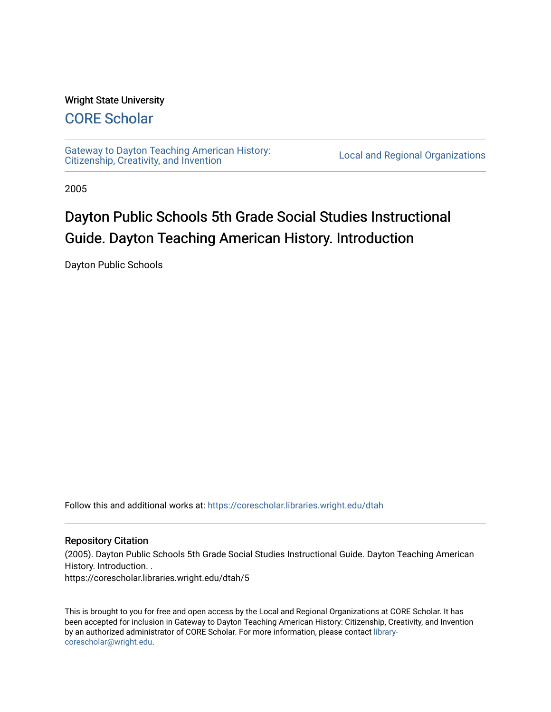### Wright State University

# [CORE Scholar](https://corescholar.libraries.wright.edu/)

[Gateway to Dayton Teaching American History:](https://corescholar.libraries.wright.edu/dtah)  Gateway to Dayton Teaching American History.<br>[Citizenship, Creativity, and Invention](https://corescholar.libraries.wright.edu/dtah) Local and Regional Organizations

2005

# Dayton Public Schools 5th Grade Social Studies Instructional Guide. Dayton Teaching American History. Introduction

Dayton Public Schools

Follow this and additional works at: [https://corescholar.libraries.wright.edu/dtah](https://corescholar.libraries.wright.edu/dtah?utm_source=corescholar.libraries.wright.edu%2Fdtah%2F5&utm_medium=PDF&utm_campaign=PDFCoverPages)

### Repository Citation

(2005). Dayton Public Schools 5th Grade Social Studies Instructional Guide. Dayton Teaching American History. Introduction. .

https://corescholar.libraries.wright.edu/dtah/5

This is brought to you for free and open access by the Local and Regional Organizations at CORE Scholar. It has been accepted for inclusion in Gateway to Dayton Teaching American History: Citizenship, Creativity, and Invention by an authorized administrator of CORE Scholar. For more information, please contact [library](mailto:library-corescholar@wright.edu)[corescholar@wright.edu](mailto:library-corescholar@wright.edu).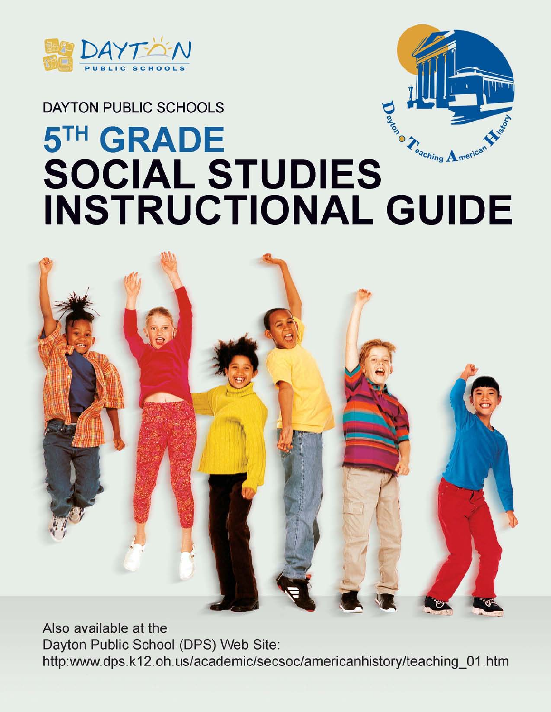



# DAYTON PUBLIC SCHOOLS **5TH GRADE**  DAYTON PUBLIC SURFERING ENGINEERING THE CONCLUDED TRANSPARED TO A merican<sup>ne A</sup> $\epsilon_{\epsilon_{\alpha_{ch}}}_{\alpha_{\alpha_{ch}}$ **INSTRUCTIONAL GUIDE**



Also available at the Dayton Public School (DPS) Web Site: http:www.dps.k12.oh.us/academic/secsoc/americanhistory/teachin9\_01.htm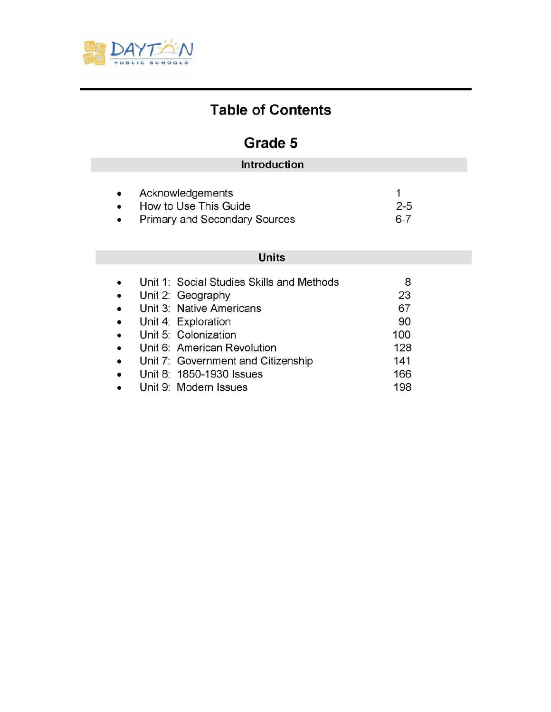

# **Table of Contents**

# **Grade 5**

| <b>Introduction</b>           |         |
|-------------------------------|---------|
| Acknowledgements              |         |
| How to Use This Guide         | $2 - 5$ |
| Primary and Secondary Sources | $6 - 7$ |

### **Units**

|           | Unit 1: Social Studies Skills and Methods | 8   |
|-----------|-------------------------------------------|-----|
| $\bullet$ | Unit 2: Geography                         | 23  |
| $\bullet$ | Unit 3: Native Americans                  | 67  |
| $\bullet$ | Unit 4: Exploration                       | 90  |
| $\bullet$ | Unit 5: Colonization                      | 100 |
| $\bullet$ | Unit 6: American Revolution               | 128 |
| $\bullet$ | Unit 7: Government and Citizenship        | 141 |
| $\bullet$ | Unit 8: 1850-1930 Issues                  | 166 |
|           | Unit 9: Modern Issues                     | 198 |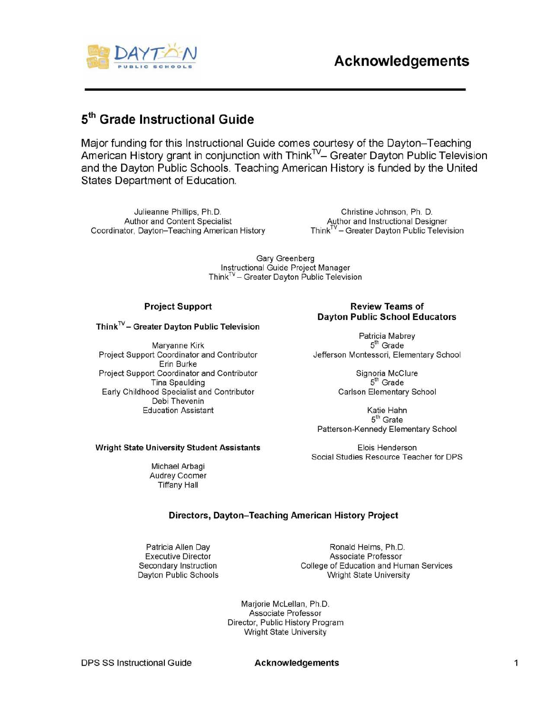

# 5th **Grade Instructional Guide**

Major funding for this Instructional Guide comes courtesy of the Dayton-Teaching American History grant in conjunction with Think<sup>TV</sup>- Greater Dayton Public Television and the Dayton Public Schools. Teaching American History is funded by the United States Department of Education.

Julieanne Phillips, Ph.D. Christine Johnson, Ph. D. Author and Content Specialist **Author and Instructional Designer** Coordinator, Dayton-Teaching American History Think<sup>TV</sup> - Greater Dayton Public Television

Gary Greenberg Instructional Guide Project Manager  $Think^{TV}$  – Greater Dayton Public Television

 $Think<sup>TV</sup> – Greater$  Dayton Public Television

Maryanne Kirk 5 Project Support Coordinator and Contributor **Jefferson Montessori, Elementary School** Erin Burke Project Support Coordinator and Contributor Signoria McClure Tina Spaulding 5 Early Childhood Specialist and Contributor Carlson Elementary School Debi Thevenin Education Assistant **Katie Hahn** 

### Project Support **Review Teams** of Dayton Public School Educators

Patricia Mabrey  $5<sup>th</sup>$  Grade

 $5<sup>th</sup>$  Grade

 $5<sup>th</sup>$  Grate Patterson-Kennedy Elementary School

Social Studies Resource Teacher for DPS

### Wright State University Student Assistants The Manuscript Elois Henderson

Michael Arbagi Audrey Coomer Tiffany Hall

### Directors, Dayton-Teaching American History Project

Patricia Allen Day **Ronald Helms**, Ph.D. Executive Director **Associate Professor** Secondary Instruction College of Education and Human Services Dayton Public Schools Manuel Controller Wright State University

> Marjorie McLellan, Ph.D. Associate Professor Director, Public History Program Wright State University

DPS SS Instructional Guide **Acknowledgements**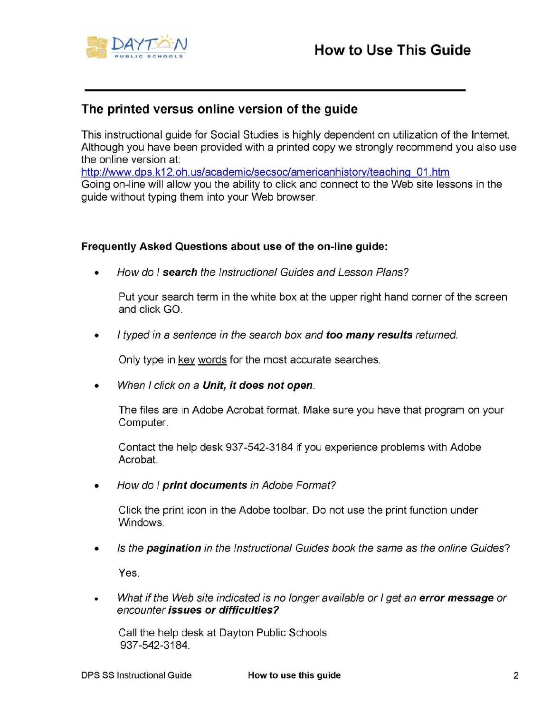

### The printed versus online version of the guide

This instructional guide for Social Studies is highly dependent on utilization of the Internet. Although you have been provided with a printed copy we strongly recommend you also use the online version at:

http://www.dps.k12.oh.us/academic/secsoc/americanhistorv/teaching 01.htm Going on-line will allow you the ability to click and connect to the Web site lessons in the guide without typing them into your Web browser.

### Frequently Asked Questions about use of the on-line guide:

• How do I search the Instructional Guides and Lesson Plans?

Put your search term in the white box at the upper right hand corner of the screen and click GO.

• I typed in a sentence in the search box and too many results returned.

Only type in key words for the most accurate searches.

When I click on a Unit, it does not open.

The files are in Adobe Acrobat format. Make sure you have that program on your Computer.

Contact the help desk 937-542-3184 if you experience problems with Adobe Acrobat.

• How do I print documents in Adobe Format?

Click the print icon in the Adobe toolbar. Do not use the print function under Windows.

• Is the **pagination** in the Instructional Guides book the same as the online Guides?

Yes.

What if the Web site indicated is no longer available or I get an error message or encounter issues or difficulties?

Call the help desk at Dayton Public Schools 937 -542-3184.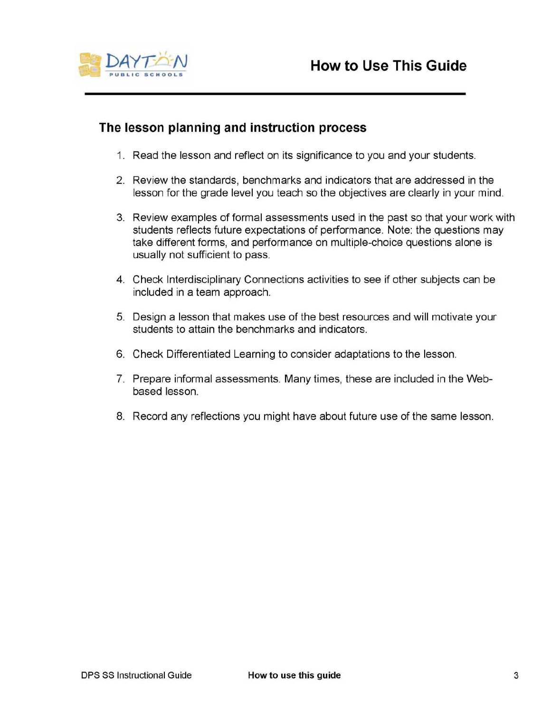

## **The lesson planning and instruction process**

- 1. Read the lesson and reflect on its significance to you and your students.
- 2. Review the standards, benchmarks and indicators that are addressed in the lesson for the grade level you teach so the objectives are clearly in your mind.
- 3. Review examples of formal assessments used in the past so that your work with students reflects future expectations of performance. Note: the questions may take different forms, and performance on multiple-choice questions alone is usually not sufficient to pass.
- 4. Check Interdisciplinary Connections activities to see if other subjects can be included in a team approach.
- 5. Design a lesson that makes use of the best resources and will motivate your students to attain the benchmarks and indicators.
- 6. Check Differentiated Learning to consider adaptations to the lesson.
- 7. Prepare informal assessments. Many times, these are included in the Webbased lesson.
- 8. Record any reflections you might have about future use of the same lesson.